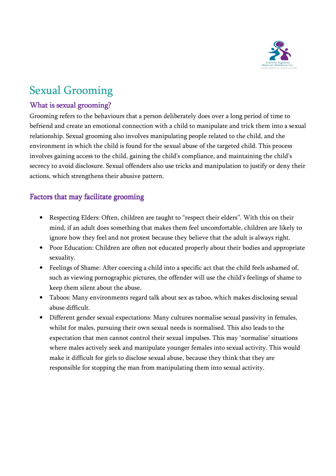

# Sexual Grooming

### What is sexual grooming?

Grooming refers to the behaviours that a person deliberately does over a long period of time to befriend and create an emotional connection with a child to manipulate and trick them into a sexual relationship. Sexual grooming also involves manipulating people related to the child, and the environment in which the child is found for the sexual abuse of the targeted child. This process involves gaining access to the child, gaining the child's compliance, and maintaining the child's secrecy to avoid disclosure. Sexual offenders also use tricks and manipulation to justify or deny their actions, which strengthens their abusive pattern.

#### Factors that may facilitate grooming

- Respecting Elders: Often, children are taught to "respect their elders". With this on their mind, if an adult does something that makes them feel uncomfortable, children are likely to ignore how they feel and not protest because they believe that the adult is always right.
- Poor Education: Children are often not educated properly about their bodies and appropriate sexuality.
- Feelings of Shame: After coercing a child into a specific act that the child feels ashamed of, such as viewing pornographic pictures, the offender will use the child's feelings of shame to keep them silent about the abuse.
- Taboos: Many environments regard talk about sex as taboo, which makes disclosing sexual abuse difficult.
- Different gender sexual expectations: Many cultures normalise sexual passivity in females, whilst for males, pursuing their own sexual needs is normalised. This also leads to the expectation that men cannot control their sexual impulses. This may 'normalise' situations where males actively seek and manipulate younger females into sexual activity. This would make it difficult for girls to disclose sexual abuse, because they think that they are responsible for stopping the man from manipulating them into sexual activity.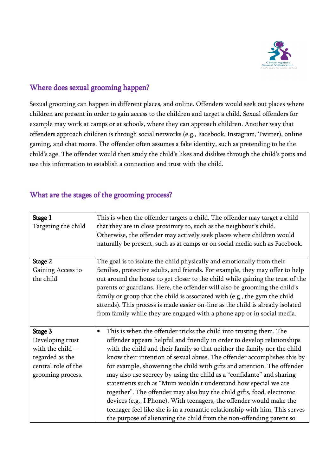

#### Where does sexual grooming happen?

Sexual grooming can happen in different places, and online. Offenders would seek out places where children are present in order to gain access to the children and target a child. Sexual offenders for example may work at camps or at schools, where they can approach children. Another way that offenders approach children is through social networks (e.g., Facebook, Instagram, Twitter), online gaming, and chat rooms. The offender often assumes a fake identity, such as pretending to be the child's age. The offender would then study the child's likes and dislikes through the child's posts and use this information to establish a connection and trust with the child.

#### What are the stages of the grooming process?

| Stage 1<br>Targeting the child                                                                                   | This is when the offender targets a child. The offender may target a child<br>that they are in close proximity to, such as the neighbour's child.<br>Otherwise, the offender may actively seek places where children would<br>naturally be present, such as at camps or on social media such as Facebook.                                                                                                                                                                                                                                                                                                                                                                                                                                                                                                                                       |
|------------------------------------------------------------------------------------------------------------------|-------------------------------------------------------------------------------------------------------------------------------------------------------------------------------------------------------------------------------------------------------------------------------------------------------------------------------------------------------------------------------------------------------------------------------------------------------------------------------------------------------------------------------------------------------------------------------------------------------------------------------------------------------------------------------------------------------------------------------------------------------------------------------------------------------------------------------------------------|
| Stage 2<br>Gaining Access to<br>the child                                                                        | The goal is to isolate the child physically and emotionally from their<br>families, protective adults, and friends. For example, they may offer to help<br>out around the house to get closer to the child while gaining the trust of the<br>parents or guardians. Here, the offender will also be grooming the child's<br>family or group that the child is associated with (e.g., the gym the child<br>attends). This process is made easier on-line as the child is already isolated<br>from family while they are engaged with a phone app or in social media.                                                                                                                                                                                                                                                                              |
| Stage 3<br>Developing trust<br>with the child $-$<br>regarded as the<br>central role of the<br>grooming process. | This is when the offender tricks the child into trusting them. The<br>$\bullet$<br>offender appears helpful and friendly in order to develop relationships<br>with the child and their family so that neither the family nor the child<br>know their intention of sexual abuse. The offender accomplishes this by<br>for example, showering the child with gifts and attention. The offender<br>may also use secrecy by using the child as a "confidante" and sharing<br>statements such as "Mum wouldn't understand how special we are<br>together". The offender may also buy the child gifts, food, electronic<br>devices (e.g., I Phone). With teenagers, the offender would make the<br>teenager feel like she is in a romantic relationship with him. This serves<br>the purpose of alienating the child from the non-offending parent so |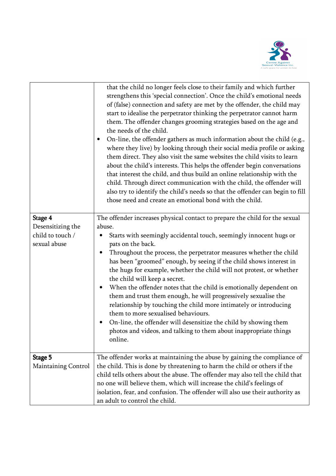

|                                                                  | that the child no longer feels close to their family and which further<br>strengthens this 'special connection'. Once the child's emotional needs<br>of (false) connection and safety are met by the offender, the child may<br>start to idealise the perpetrator thinking the perpetrator cannot harm<br>them. The offender changes grooming strategies based on the age and<br>the needs of the child.<br>On-line, the offender gathers as much information about the child (e.g.,<br>where they live) by looking through their social media profile or asking<br>them direct. They also visit the same websites the child visits to learn<br>about the child's interests. This helps the offender begin conversations<br>that interest the child, and thus build an online relationship with the<br>child. Through direct communication with the child, the offender will<br>also try to identify the child's needs so that the offender can begin to fill<br>those need and create an emotional bond with the child. |
|------------------------------------------------------------------|--------------------------------------------------------------------------------------------------------------------------------------------------------------------------------------------------------------------------------------------------------------------------------------------------------------------------------------------------------------------------------------------------------------------------------------------------------------------------------------------------------------------------------------------------------------------------------------------------------------------------------------------------------------------------------------------------------------------------------------------------------------------------------------------------------------------------------------------------------------------------------------------------------------------------------------------------------------------------------------------------------------------------|
| Stage 4<br>Desensitizing the<br>child to touch /<br>sexual abuse | The offender increases physical contact to prepare the child for the sexual<br>abuse.<br>Starts with seemingly accidental touch, seemingly innocent hugs or<br>pats on the back.<br>Throughout the process, the perpetrator measures whether the child<br>has been "groomed" enough, by seeing if the child shows interest in<br>the hugs for example, whether the child will not protest, or whether<br>the child will keep a secret.<br>When the offender notes that the child is emotionally dependent on<br>$\bullet$<br>them and trust them enough, he will progressively sexualise the<br>relationship by touching the child more intimately or introducing<br>them to more sexualised behaviours.<br>On-line, the offender will desensitize the child by showing them<br>photos and videos, and talking to them about inappropriate things<br>online.                                                                                                                                                             |
| Stage 5<br><b>Maintaining Control</b>                            | The offender works at maintaining the abuse by gaining the compliance of<br>the child. This is done by threatening to harm the child or others if the<br>child tells others about the abuse. The offender may also tell the child that<br>no one will believe them, which will increase the child's feelings of<br>isolation, fear, and confusion. The offender will also use their authority as<br>an adult to control the child.                                                                                                                                                                                                                                                                                                                                                                                                                                                                                                                                                                                       |